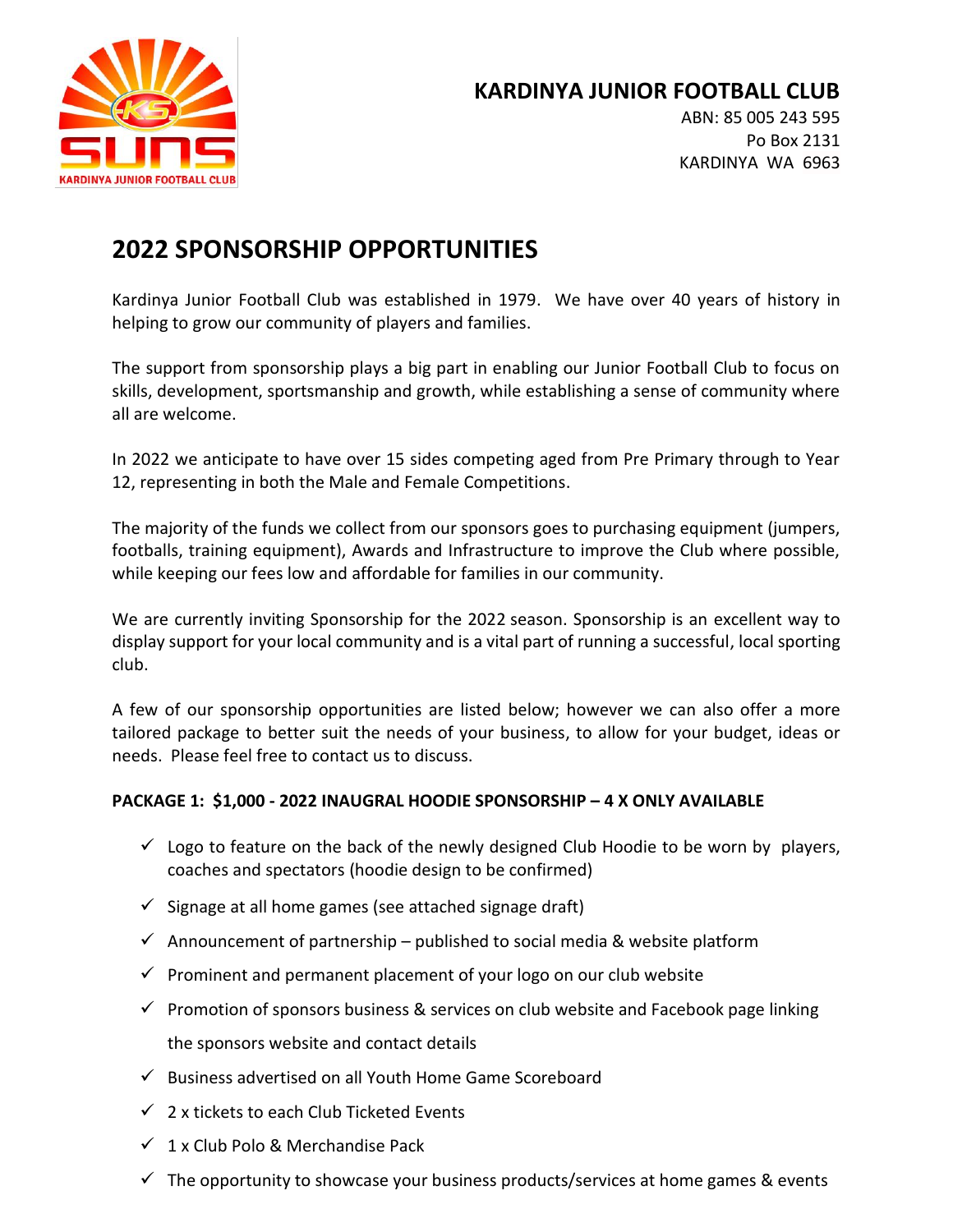

# **KARDINYA JUNIOR FOOTBALL CLUB**

ABN: 85 005 243 595 Po Box 2131 KARDINYA WA 6963

# **2022 SPONSORSHIP OPPORTUNITIES**

Kardinya Junior Football Club was established in 1979. We have over 40 years of history in helping to grow our community of players and families.

The support from sponsorship plays a big part in enabling our Junior Football Club to focus on skills, development, sportsmanship and growth, while establishing a sense of community where all are welcome.

In 2022 we anticipate to have over 15 sides competing aged from Pre Primary through to Year 12, representing in both the Male and Female Competitions.

The majority of the funds we collect from our sponsors goes to purchasing equipment (jumpers, footballs, training equipment), Awards and Infrastructure to improve the Club where possible, while keeping our fees low and affordable for families in our community.

We are currently inviting Sponsorship for the 2022 season. Sponsorship is an excellent way to display support for your local community and is a vital part of running a successful, local sporting club.

A few of our sponsorship opportunities are listed below; however we can also offer a more tailored package to better suit the needs of your business, to allow for your budget, ideas or needs. Please feel free to contact us to discuss.

# **PACKAGE 1: \$1,000 - 2022 INAUGRAL HOODIE SPONSORSHIP – 4 X ONLY AVAILABLE**

- $\checkmark$  Logo to feature on the back of the newly designed Club Hoodie to be worn by players, coaches and spectators (hoodie design to be confirmed)
- $\checkmark$  Signage at all home games (see attached signage draft)
- $\checkmark$  Announcement of partnership published to social media & website platform
- $\checkmark$  Prominent and permanent placement of your logo on our club website
- $\checkmark$  Promotion of sponsors business & services on club website and Facebook page linking the sponsors website and contact details
- ✓ Business advertised on all Youth Home Game Scoreboard
- $\checkmark$  2 x tickets to each Club Ticketed Events
- $\checkmark$  1 x Club Polo & Merchandise Pack
- $\checkmark$  The opportunity to showcase your business products/services at home games & events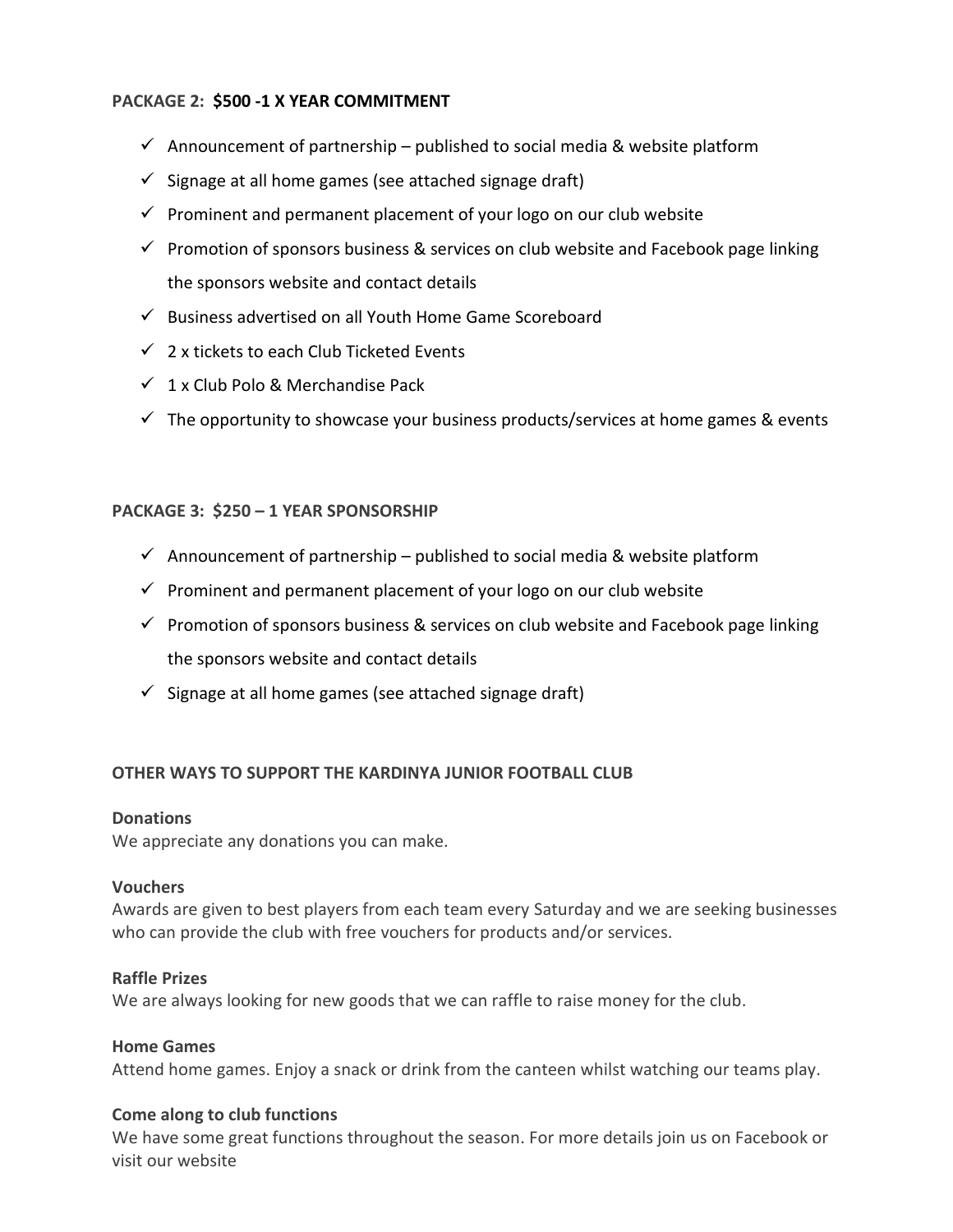# **PACKAGE 2: \$500 -1 X YEAR COMMITMENT**

- $\checkmark$  Announcement of partnership published to social media & website platform
- $\checkmark$  Signage at all home games (see attached signage draft)
- $\checkmark$  Prominent and permanent placement of your logo on our club website
- $\checkmark$  Promotion of sponsors business & services on club website and Facebook page linking the sponsors website and contact details
- ✓ Business advertised on all Youth Home Game Scoreboard
- $\checkmark$  2 x tickets to each Club Ticketed Events
- $\checkmark$  1 x Club Polo & Merchandise Pack
- $\checkmark$  The opportunity to showcase your business products/services at home games & events

#### **PACKAGE 3: \$250 – 1 YEAR SPONSORSHIP**

- $\checkmark$  Announcement of partnership published to social media & website platform
- $\checkmark$  Prominent and permanent placement of your logo on our club website
- $\checkmark$  Promotion of sponsors business & services on club website and Facebook page linking the sponsors website and contact details
- $\checkmark$  Signage at all home games (see attached signage draft)

# **OTHER WAYS TO SUPPORT THE KARDINYA JUNIOR FOOTBALL CLUB**

#### **Donations**

We appreciate any donations you can make.

#### **Vouchers**

Awards are given to best players from each team every Saturday and we are seeking businesses who can provide the club with free vouchers for products and/or services.

#### **Raffle Prizes**

We are always looking for new goods that we can raffle to raise money for the club.

# **Home Games**

Attend home games. Enjoy a snack or drink from the canteen whilst watching our teams play.

#### **Come along to club functions**

We have some great functions throughout the season. For more details join us on Facebook or visit our website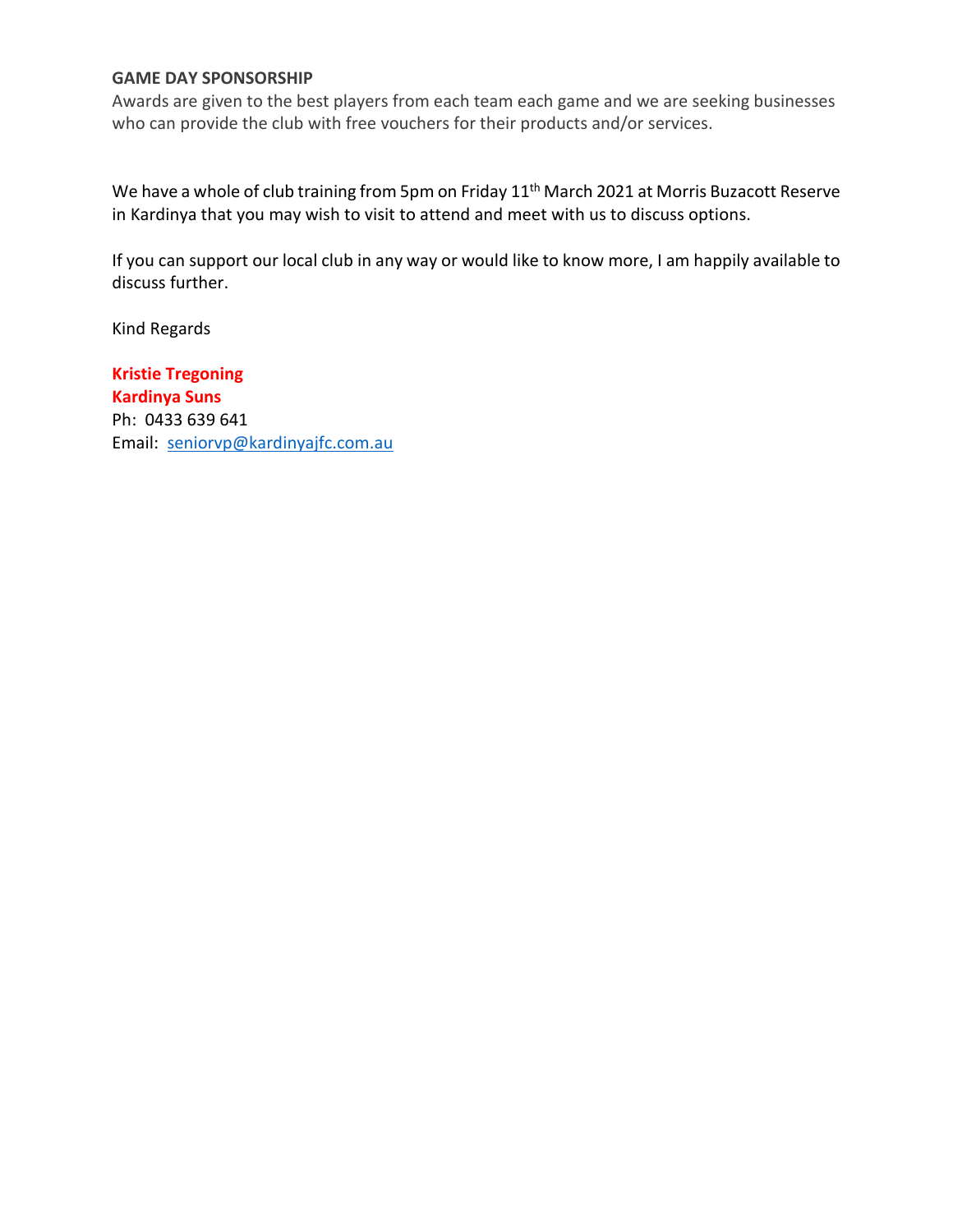# **GAME DAY SPONSORSHIP**

Awards are given to the best players from each team each game and we are seeking businesses who can provide the club with free vouchers for their products and/or services.

We have a whole of club training from 5pm on Friday 11<sup>th</sup> March 2021 at Morris Buzacott Reserve in Kardinya that you may wish to visit to attend and meet with us to discuss options.

If you can support our local club in any way or would like to know more, I am happily available to discuss further.

Kind Regards

**Kristie Tregoning Kardinya Suns**  Ph: 0433 639 641 Email: [seniorvp@kardinyajfc.com.au](mailto:seniorvp@kardinyajfc.com.au)